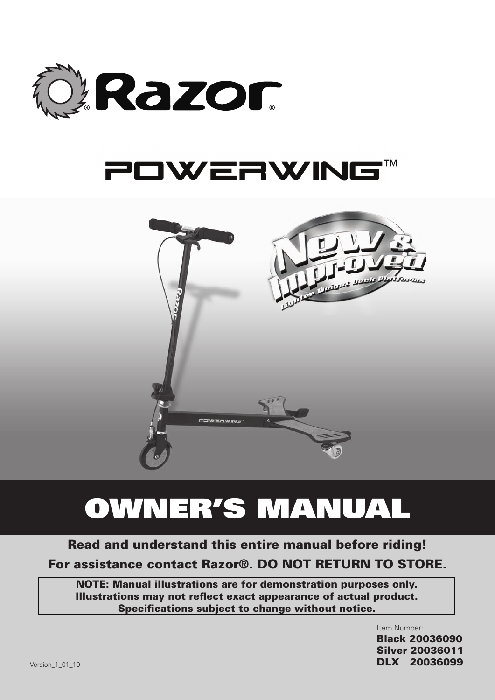

# POWERWING™



# Owner's Manual

# Read and understand this entire manual before riding! For assistance contact Razor®. DO NOT RETURN TO STORE.

NOTE: Manual illustrations are for demonstration purposes only. Illustrations may not reflect exact appearance of actual product. Specifications subject to change without notice.

> Item Number: Black 20036090 Silver 20036011 DLX 20036099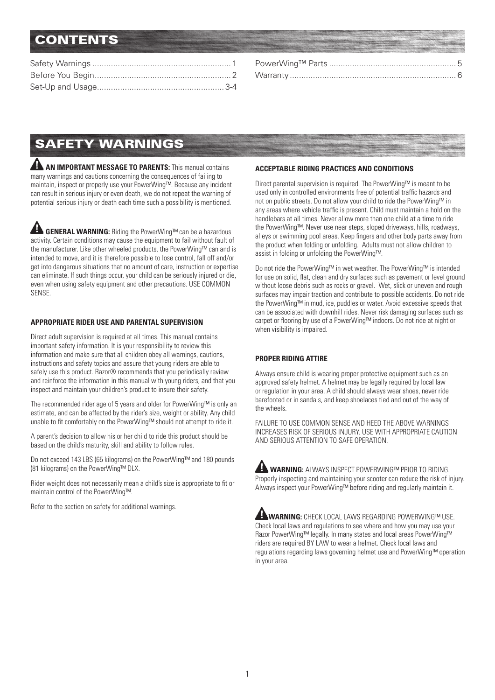## **CONTENTS**

# Safety Warnings

**AN IMPORTANT MESSAGE TO PARENTS:** This manual contains many warnings and cautions concerning the consequences of failing to maintain, inspect or properly use your PowerWing™. Because any incident can result in serious injury or even death, we do not repeat the warning of potential serious injury or death each time such a possibility is mentioned.

 **GENERAL WARNING:** Riding the PowerWing™ can be a hazardous activity. Certain conditions may cause the equipment to fail without fault of the manufacturer. Like other wheeled products, the PowerWing™ can and is intended to move, and it is therefore possible to lose control, fall off and/or get into dangerous situations that no amount of care, instruction or expertise can eliminate. If such things occur, your child can be seriously injured or die, even when using safety equipment and other precautions. USE COMMON SENSE.

#### **APPROPRIATE RIDER USE AND PARENTAL SUPERVISION**

Direct adult supervision is required at all times. This manual contains important safety information. It is your responsibility to review this information and make sure that all children obey all warnings, cautions, instructions and safety topics and assure that young riders are able to safely use this product. Razor® recommends that you periodically review and reinforce the information in this manual with young riders, and that you inspect and maintain your children's product to insure their safety.

The recommended rider age of 5 years and older for PowerWing™ is only an estimate, and can be affected by the rider's size, weight or ability. Any child unable to fit comfortably on the PowerWing™ should not attempt to ride it.

A parent's decision to allow his or her child to ride this product should be based on the child's maturity, skill and ability to follow rules.

Do not exceed 143 LBS (65 kilograms) on the PowerWing™ and 180 pounds (81 kilograms) on the PowerWing™ DLX.

Rider weight does not necessarily mean a child's size is appropriate to fit or maintain control of the PowerWing™.

Refer to the section on safety for additional warnings.

#### **ACCEPTABLE RIDING PRACTICES AND CONDITIONS**

Direct parental supervision is required. The PowerWing™ is meant to be used only in controlled environments free of potential traffic hazards and not on public streets. Do not allow your child to ride the PowerWing™ in any areas where vehicle traffic is present. Child must maintain a hold on the handlebars at all times. Never allow more than one child at a time to ride the PowerWing™. Never use near steps, sloped driveways, hills, roadways, alleys or swimming pool areas. Keep fingers and other body parts away from the product when folding or unfolding. Adults must not allow children to assist in folding or unfolding the PowerWing™.

Do not ride the PowerWing™ in wet weather. The PowerWing™ is intended for use on solid, flat, clean and dry surfaces such as pavement or level ground without loose debris such as rocks or gravel. Wet, slick or uneven and rough surfaces may impair traction and contribute to possible accidents. Do not ride the PowerWing™ in mud, ice, puddles or water. Avoid excessive speeds that can be associated with downhill rides. Never risk damaging surfaces such as carpet or flooring by use of a PowerWing™ indoors. Do not ride at night or when visibility is impaired.

### **PROPER RIDING ATTIRE**

Always ensure child is wearing proper protective equipment such as an approved safety helmet. A helmet may be legally required by local law or regulation in your area. A child should always wear shoes, never ride barefooted or in sandals, and keep shoelaces tied and out of the way of the wheels.

FAILURE TO USE COMMON SENSE AND HEED THE ABOVE WARNINGS INCREASES RISK OF SERIOUS INJURY. USE WITH APPROPRIATE CAUTION AND SERIOUS ATTENTION TO SAFE OPERATION.

**AL WARNING: ALWAYS INSPECT POWERWING™ PRIOR TO RIDING.** Properly inspecting and maintaining your scooter can reduce the risk of injury. Always inspect your PowerWing™ before riding and regularly maintain it.

**WARNING:** CHECK LOCAL LAWS REGARDING POWERWING™ USE. Check local laws and regulations to see where and how you may use your Razor PowerWing™ legally. In many states and local areas PowerWing™ riders are required BY LAW to wear a helmet. Check local laws and regulations regarding laws governing helmet use and PowerWing™ operation in your area.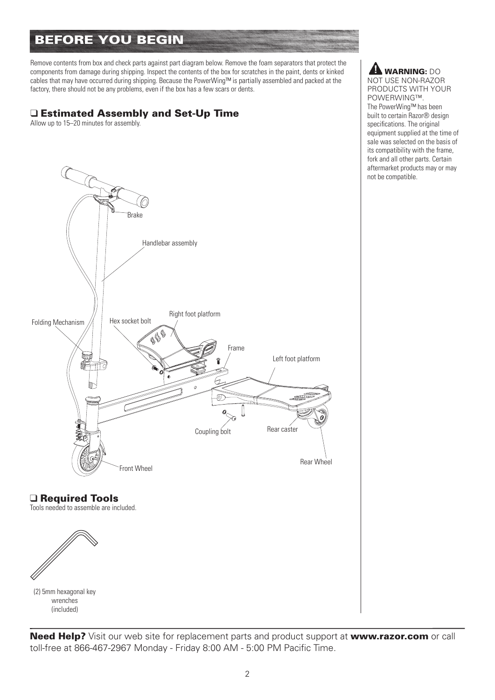# Before You Begin

Remove contents from box and check parts against part diagram below. Remove the foam separators that protect the components from damage during shipping. Inspect the contents of the box for scratches in the paint, dents or kinked cables that may have occurred during shipping. Because the PowerWing™ is partially assembled and packed at the factory, there should not be any problems, even if the box has a few scars or dents.

### □ Estimated Assembly and Set-Up Time

Allow up to 15–20 minutes for assembly.



**A** WARNING: DO NOT USE NON-RAZOR PRODUCTS WITH YOUR POWERWING™. The PowerWing™ has been built to certain Razor® design specifications. The original equipment supplied at the time of sale was selected on the basis of its compatibility with the frame, fork and all other parts. Certain aftermarket products may or may

not be compatible.

### □ Required Tools

Tools needed to assemble are included.



(2) 5mm hexagonal key wrenches (included)

Need Help? Visit our web site for replacement parts and product support at www.razor.com or call toll-free at 866-467-2967 Monday - Friday 8:00 AM - 5:00 PM Pacific Time.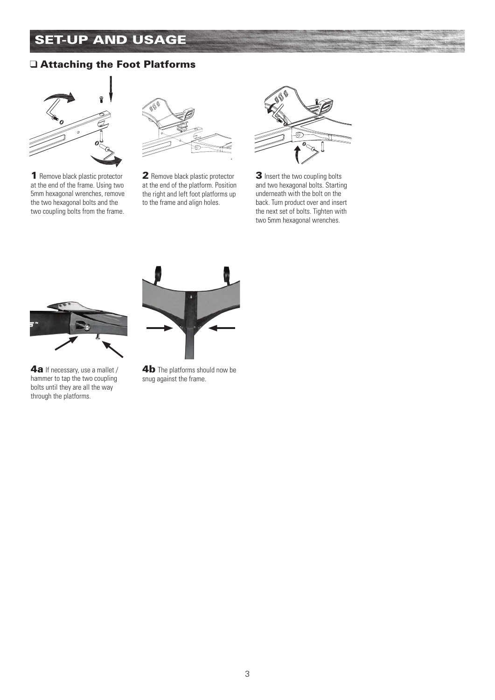# **SET-UP AND USAGE**

### q Attaching the Foot Platforms



1 Remove black plastic protector at the end of the frame. Using two 5mm hexagonal wrenches, remove the two hexagonal bolts and the two coupling bolts from the frame.



2 Remove black plastic protector at the end of the platform. Position the right and left foot platforms up to the frame and align holes.



3 Insert the two coupling bolts and two hexagonal bolts. Starting underneath with the bolt on the back. Turn product over and insert the next set of bolts. Tighten with two 5mm hexagonal wrenches.



4a If necessary, use a mallet / hammer to tap the two coupling bolts until they are all the way through the platforms.



4b The platforms should now be snug against the frame.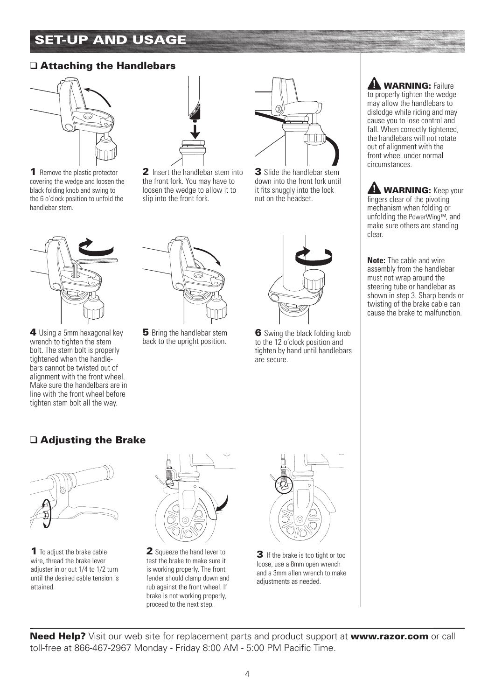# Set-Up and usage

### $\Box$  Attaching the Handlebars



1 Remove the plastic protector covering the wedge and loosen the black folding knob and swing to the 6 o'clock position to unfold the handlebar stem.



4 Using a 5mm hexagonal key wrench to tighten the stem bolt. The stem bolt is properly tightened when the handlebars cannot be twisted out of alignment with the front wheel. Make sure the handelbars are in line with the front wheel before tighten stem bolt all the way.



2 Insert the handlebar stem into the front fork. You may have to loosen the wedge to allow it to slip into the front fork.



3 Slide the handlebar stem down into the front fork until it fits snuggly into the lock nut on the headset.



**5** Bring the handlebar stem back to the upright position.



6 Swing the black folding knob to the 12 o'clock position and tighten by hand until handlebars are secure.



**A WARNING:** Keep your fingers clear of the pivoting mechanism when folding or unfolding the PowerWing™, and make sure others are standing clear.

**Note:** The cable and wire assembly from the handlebar must not wrap around the steering tube or handlebar as shown in step 3. Sharp bends or twisting of the brake cable can cause the brake to malfunction.

### $\Box$  Adjusting the Brake



1 To adjust the brake cable wire, thread the brake lever adiuster in or out 1/4 to 1/2 turn until the desired cable tension is attained.



2 Squeeze the hand lever to test the brake to make sure it is working properly. The front fender should clamp down and rub against the front wheel. If brake is not working properly, proceed to the next step.



**3** If the brake is too tight or too loose, use a 8mm open wrench and a 3mm allen wrench to make adjustments as needed.

Need Help? Visit our web site for replacement parts and product support at www.razor.com or call toll-free at 866-467-2967 Monday - Friday 8:00 AM - 5:00 PM Pacific Time.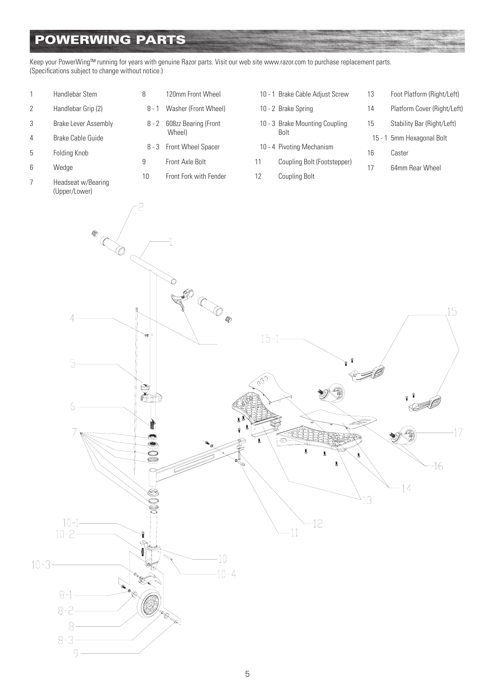# PowerWing Parts

Keep your PowerWing™ running for years with genuine Razor parts. Visit our web site www.razor.com to purchase replacement parts. (Specifications subject to change without notice.)

- 1 Handlebar Stem
- 2 Handlebar Grip (2)
- 3 Brake Lever Assembly
- 4 Brake Cable Guide
- 5 Folding Knob
- 6 Wedge
- 7 Headseat w/Bearing (Upper/Lower)

| 8 | 120mm Front Wheel          |
|---|----------------------------|
|   | 8 - 1 Washer (Front Wheel) |

- 8 2 608zz Bearing (Front Wheel)
- 8 3 Front Wheel Spacer
- 9 Front Axle Bolt
- 10 Front Fork with Fender

| 10 - 1 Brake Cable Adjust Screw |
|---------------------------------|
|                                 |

- 10 2 Brake Spring
- 10 3 Brake Mounting Coupling Bolt
- 10 4 Pivoting Mechanism
- 11 Coupling Bolt (Footstepper)
- 12 Coupling Bolt
- 13 Foot Platform (Right/Left) 14 Platform Cover (Right/Left) 15 Stability Bar (Right/Left) 15 - 1 5mm Hexagonal Bolt 16 Caster 17 64mm Rear Wheel